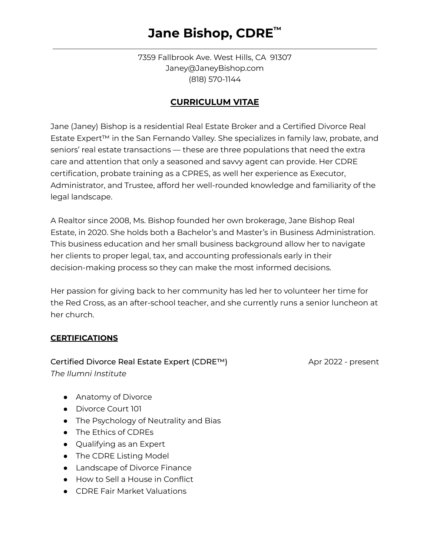### **Jane Bishop, CDRE ™**

7359 Fallbrook Ave. West Hills, CA 91307 Janey@JaneyBishop.com (818) 570-1144

### **CURRICULUM VITAE**

Jane (Janey) Bishop is a residential Real Estate Broker and a Certified Divorce Real Estate Expert™ in the San Fernando Valley. She specializes in family law, probate, and seniors' real estate transactions — these are three populations that need the extra care and attention that only a seasoned and savvy agent can provide. Her CDRE certification, probate training as a CPRES, as well her experience as Executor, Administrator, and Trustee, afford her well-rounded knowledge and familiarity of the legal landscape.

A Realtor since 2008, Ms. Bishop founded her own brokerage, Jane Bishop Real Estate, in 2020. She holds both a Bachelor's and Master's in Business Administration. This business education and her small business background allow her to navigate her clients to proper legal, tax, and accounting professionals early in their decision-making process so they can make the most informed decisions.

Her passion for giving back to her community has led her to volunteer her time for the Red Cross, as an after-school teacher, and she currently runs a senior luncheon at her church.

#### **CERTIFICATIONS**

*The Ilumni Institute*

### Certified Divorce Real Estate Expert (CDRE™) Apr 2022 - present

- Anatomy of Divorce
- Divorce Court 101
- The Psychology of Neutrality and Bias
- The Ethics of CDREs
- Qualifying as an Expert
- The CDRE Listing Model
- Landscape of Divorce Finance
- How to Sell a House in Conflict
- CDRE Fair Market Valuations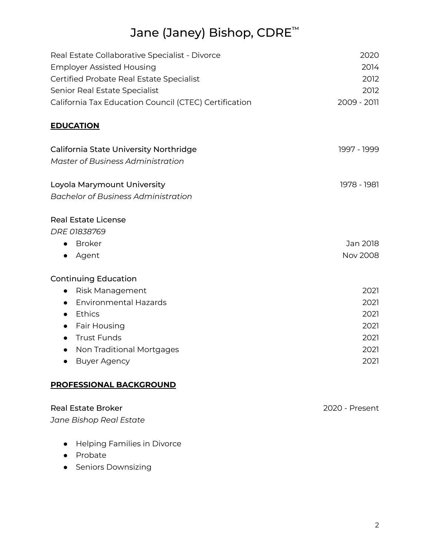# Jane (Janey) Bishop, CDRE ™

| Real Estate Collaborative Specialist - Divorce<br><b>Employer Assisted Housing</b> | 2020<br>2014   |
|------------------------------------------------------------------------------------|----------------|
| Certified Probate Real Estate Specialist                                           | 2012           |
| Senior Real Estate Specialist                                                      | 2012           |
| California Tax Education Council (CTEC) Certification                              | 2009 - 2011    |
|                                                                                    |                |
| <b>EDUCATION</b>                                                                   |                |
| California State University Northridge                                             | 1997 - 1999    |
| <b>Master of Business Administration</b>                                           |                |
| Loyola Marymount University                                                        | 1978 - 1981    |
| <b>Bachelor of Business Administration</b>                                         |                |
| <b>Real Estate License</b>                                                         |                |
| DRE 01838769                                                                       |                |
| <b>Broker</b><br>$\bullet$                                                         | Jan 2018       |
| Agent<br>$\bullet$                                                                 | Nov 2008       |
| <b>Continuing Education</b>                                                        |                |
| Risk Management<br>$\bullet$                                                       | 2021           |
| <b>Environmental Hazards</b><br>$\bullet$                                          | 2021           |
| Ethics<br>$\bullet$                                                                | 2021           |
| Fair Housing<br>$\bullet$                                                          | 2021           |
| <b>Trust Funds</b><br>$\bullet$                                                    | 2021           |
| <b>Non Traditional Mortgages</b><br>$\bullet$                                      | 2021           |
| <b>Buyer Agency</b><br>$\bullet$                                                   | 2021           |
| <b>PROFESSIONAL BACKGROUND</b>                                                     |                |
| <b>Real Estate Broker</b>                                                          | 2020 - Present |
| Jane Bishop Real Estate                                                            |                |
| Helping Families in Divorce                                                        |                |

- Probate
- Seniors Downsizing